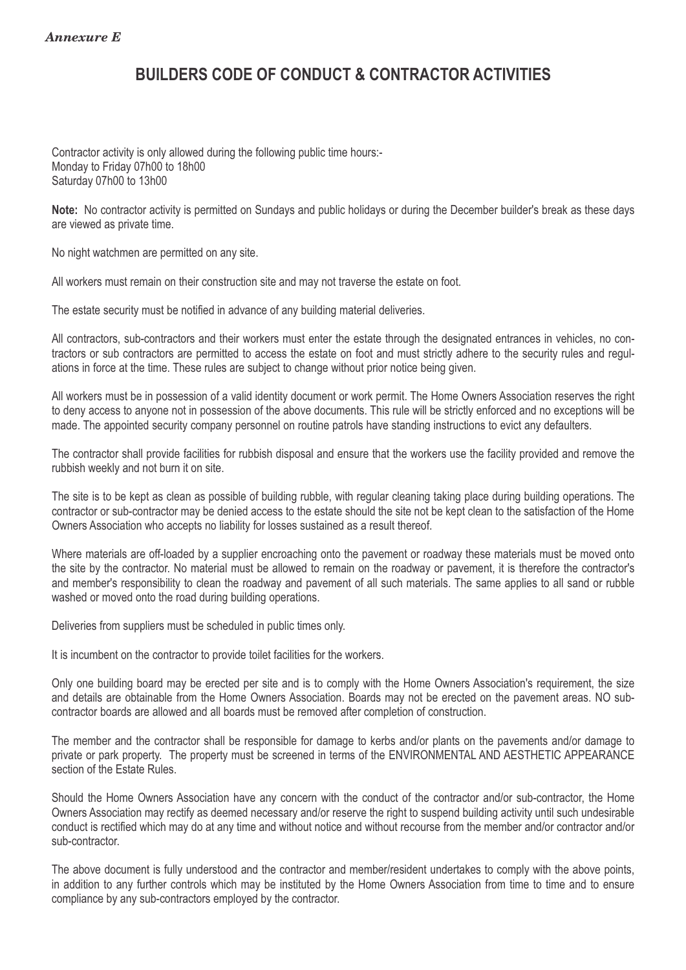## **BUILDERS CODE OF CONDUCT & CONTRACTOR ACTIVITIES**

Contractor activity is only allowed during the following public time hours:- . Monday to Friday 07h00 to 18h00 Saturday 07h00 to 13h00

**Note:** No contractor activity is permitted on Sundays and public holidays or during the December builder's break as these days are viewed as private time. .

No night watchmen are permitted on any site. .

All workers must remain on their construction site and may not traverse the estate on foot. .

The estate security must be notified in advance of any building material deliveries. .

All contractors, sub-contractors and their workers must enter the estate through the designated entrances in vehicles, no contractors or sub contractors are permitted to access the estate on foot and must strictly adhere to the security rules and regulations in force at the time. These rules are subject to change without prior notice being given. .

All workers must be in possession of a valid identity document or work permit. The Home Owners Association reserves the right to deny access to anyone not in possession of the above documents. This rule will be strictly enforced and no exceptions will be made. The appointed security company personnel on routine patrols have standing instructions to evict any defaulters. .

The contractor shall provide facilities for rubbish disposal and ensure that the workers use the facility provided and remove the rubbish weekly and not burn it on site.

The site is to be kept as clean as possible of building rubble, with regular cleaning taking place during building operations. The contractor or sub-contractor may be denied access to the estate should the site not be kept clean to the satisfaction of the Home Owners Association who accepts no liability for losses sustained as a result thereof. .

Where materials are off-loaded by a supplier encroaching onto the pavement or roadway these materials must be moved onto the site by the contractor. No material must be allowed to remain on the roadway or pavement, it is therefore the contractor's and member's responsibility to clean the roadway and pavement of all such materials. The same applies to all sand or rubble washed or moved onto the road during building operations.

Deliveries from suppliers must be scheduled in public times only.

It is incumbent on the contractor to provide toilet facilities for the workers.

Only one building board may be erected per site and is to comply with the Home Owners Association's requirement, the size and details are obtainable from the Home Owners Association. Boards may not be erected on the pavement areas. NO subcontractor boards are allowed and all boards must be removed after completion of construction. .

The member and the contractor shall be responsible for damage to kerbs and/or plants on the pavements and/or damage to private or park property. The property must be screened in terms of the ENVIRONMENTAL AND AESTHETIC APPEARANCE section of the Estate Rules.

Should the Home Owners Association have any concern with the conduct of the contractor and/or sub-contractor, the Home Owners Association may rectify as deemed necessary and/or reserve the right to suspend building activity until such undesirable conduct is rectified which may do at any time and without notice and without recourse from the member and/or contractor and/or sub-contractor. The contractor of the contractor of the contractor of the contractor of the contractor.

The above document is fully understood and the contractor and member/resident undertakes to comply with the above points, in addition to any further controls which may be instituted by the Home Owners Association from time to time and to ensure compliance by any sub-contractors employed by the contractor. .